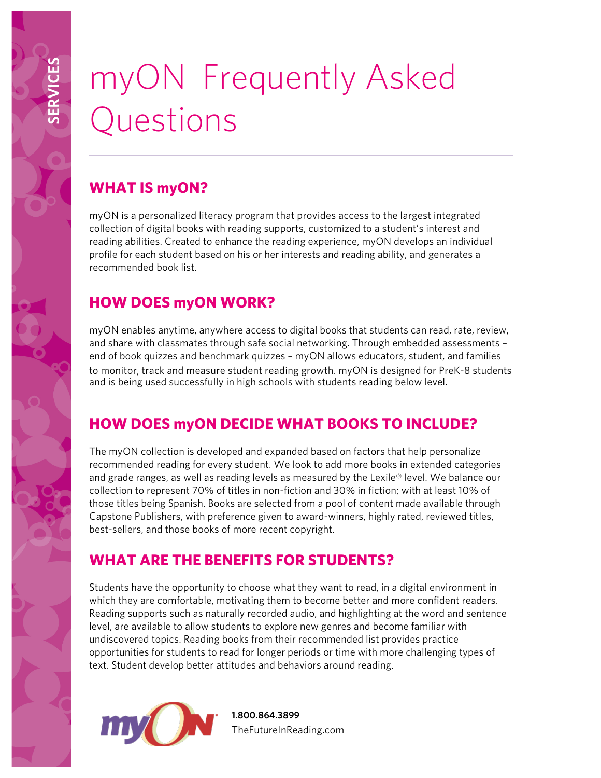# myON Frequently Asked Questions

## **WHAT IS myON?**

**SERVICES**

myON is a personalized literacy program that provides access to the largest integrated collection of digital books with reading supports, customized to a student's interest and reading abilities. Created to enhance the reading experience, myON develops an individual profile for each student based on his or her interests and reading ability, and generates a recommended book list.

# **HOW DOES myON WORK?**

myON enables anytime, anywhere access to digital books that students can read, rate, review, and share with classmates through safe social networking. Through embedded assessments – end of book quizzes and benchmark quizzes – myON allows educators, student, and families to monitor, track and measure student reading growth. myON is designed for PreK-8 students and is being used successfully in high schools with students reading below level.

## **HOW DOES myON DECIDE WHAT BOOKS TO INCLUDE?**

The myON collection is developed and expanded based on factors that help personalize recommended reading for every student. We look to add more books in extended categories and grade ranges, as well as reading levels as measured by the Lexile® level. We balance our collection to represent 70% of titles in non-fiction and 30% in fiction; with at least 10% of those titles being Spanish. Books are selected from a pool of content made available through Capstone Publishers, with preference given to award-winners, highly rated, reviewed titles, best-sellers, and those books of more recent copyright.

#### **WHAT ARE THE BENEFITS FOR STUDENTS?**

Students have the opportunity to choose what they want to read, in a digital environment in which they are comfortable, motivating them to become better and more confident readers. Reading supports such as naturally recorded audio, and highlighting at the word and sentence level, are available to allow students to explore new genres and become familiar with undiscovered topics. Reading books from their recommended list provides practice opportunities for students to read for longer periods or time with more challenging types of text. Student develop better attitudes and behaviors around reading.



**1.800.864.3899** TheFutureInReading.com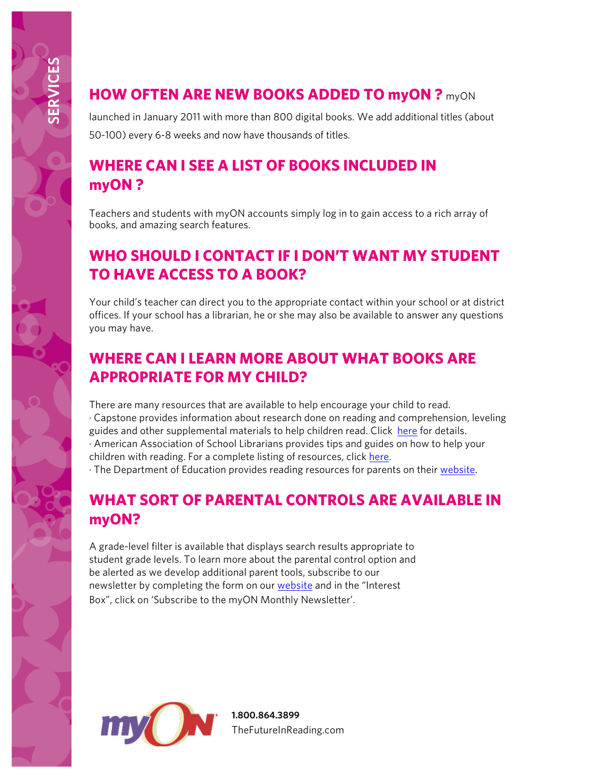#### **HOW OFTEN ARE NEW BOOKS ADDED TO myON ?** myON

launched in January 2011 with more than 800 digital books. We add additional titles (about 50-100) every 6-8 weeks and now have thousands of titles.

#### **WHERE CAN I SEE A LIST OF BOOKS INCLUDED IN myON ?**

Teachers and students with myON accounts simply log in to gain access to a rich array of books, and amazing search features.

#### **WHO SHOULD I CONTACT IF I DON'T WANT MY STUDENT TO HAVE ACCESS TO A BOOK?**

Your child's teacher can direct you to the appropriate contact within your school or at district offices. If your school has a librarian, he or she may also be available to answer any questions you may have.

#### **WHERE CAN I LEARN MORE ABOUT WHAT BOOKS ARE APPROPRIATE FOR MY CHILD?**

There are many resources that are available to help encourage your child to read. · Capstone provides information about research done on reading and comprehension, leveling guides and other supplemental materials to help children read. Click here for details. · American Association of School Librarians provides tips and guides on how to help your children with reading. For a complete listing of resources, click here. · The Department of Education provides reading resources for parents on their website.

# **WHAT SORT OF PARENTAL CONTROLS ARE AVAILABLE IN myON?**

A grade-level filter is available that displays search results appropriate to student grade levels. To learn more about the parental control option and be alerted as we develop additional parent tools, subscribe to our newsletter by completing the form on our website and in the "Interest Box", click on 'Subscribe to the myON Monthly Newsletter'.



**1.800.864.3899** TheFutureInReading.com